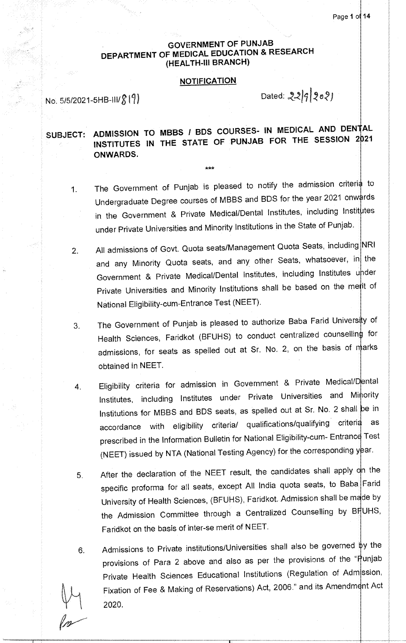# **GOVERNMENT OF PUNJAB DEPARTMENT OF MEDICAL EDUCATION & RESEARCH (HEALTH-Ill BRANCH)**

## **NOTIFICATION**

No.  $5/5/2021 - 5H B - 111/8$  (9)

Dated:  $22|9|202$ 

SUBJECT: ADMISSION TO MBBS / BDS COURSES- IN MEDICAL AND DENTAL INSTITUTES IN THE STATE OF PUNJAB FOR THE SESSION 2021 **ONWARDS.** 

\*\*\*

- 1. The Government of Punjab is pleased to notify the admission criteria to Undergraduate Degree courses of MBBS and BDS for the year 2021 onwards in the Government & Private Medical/Dental Institutes, including Institutes under Private Universities and Minority Institutions in the State of Punjab.
- 2. All admissions of Govt. Quota seats/Management Quota Seats, including NRI and any Minority Quota seats, and any other Seats, whatsoever, in the Government & Private Medical/Dental Institutes, including Institutes under Private Universities and Minority Institutions shall be based on the metit of National Eligibility-cum-Entrance Test (NEET).
- 3. The Government of Punjab is pleased to authorize Baba Farid University of Health Sciences, Faridkot (BFUHS) to conduct centralized counselling for admissions, for seats as spelled out at Sr. No. 2, on the basis of marks obtained in NEET.
- 4. Eligibility criteria for admission in Government & Private Medical/Dental Institutes, including Institutes under Private Universities and Minority Institutions for MBBS and BDS seats, as spelled out at Sr. No. 2 shall be in accordance with eligibility criteria/ qualifications/qualifying criteria as prescribed in the Information Bulletin for National Eligibility-cum- Entrance Test (NEET) issued by NTA (National Testing Agency) for the corresponding year.
- 5. After the declaration of the NEET result, the candidates shall apply on the specific proforma for all seats, except All India quota seats, to Baba Farid University of Health Sciences, (BFUHS), Faridkot. Admission shall be made by the Admission Committee through a Centralized Counselling by BHUHS, Faridkot on the basis of inter-se merit of NEET.
- 6. Admissions to Private institutions/Universities shall also be governed by the provisions of Para 2 above and also as per the provisions of the "Punjab Private Health Sciences Educational Institutions (Regulation of Adm ssion, Fixation of Fee & Making of Reservations) Act, 2006." and its Amendm **nt** Act 2020.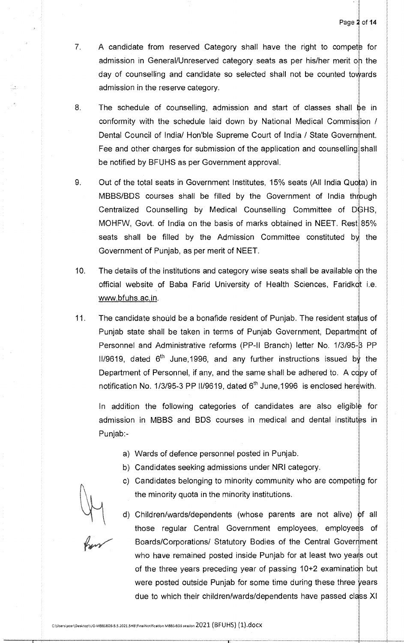- $7.$ A candidate from reserved Category shall have the right to compete for admission in General/Unreserved category seats as per his/her merit on the day of counselling and candidate so selected shall not be counted towards admission in the reserve category.
- 8. The schedule of counselling, admission and start of classes shall be in conformity with the schedule laid down by National Medical Commission / Dental Council of India/ Hon'ble Supreme Court of India / State Government. Fee and other charges for submission of the application and counselling shall be notified by BFUHS as per Government approval.
- 9. Out of the total seats in Government Institutes, 15% seats (All India Quota) in MBBS/BDS courses shall be filled by the Government of India through Centralized Counselling by Medical Counselling Committee of DGHS, MOHFW, Govt. of India on the basis of marks obtained in NEET. Rest 85% seats shall be filled by the Admission Committee constituted by the Government of Punjab, as per merit of NEET.
- 10. The details of the institutions and category wise seats shall be available on the official website of Baba Farid University of Health Sciences, Faridkdt i.e. www.bfuhs.ac.in.
- 11. The candidate should be a bonafide resident of Punjab. The resident status of Punjab state shall be taken in terms of Punjab Government, Department of Personnel and Administrative reforms (PP-II Branch) letter No. 1/3/95-8 PP 11/9619, dated  $6<sup>th</sup>$  June,1996, and any further instructions issued by the Department of Personnel, if any, and the same shall be adhered to. A copy of notification No. 1/3/95-3 PP II/9619, dated  $6<sup>th</sup>$  June,1996 is enclosed herewith.

In addition the following categories of candidates are also eligible for admission in MBBS and BDS courses in medical and dental institutes in Punjab:-

- a) Wards of defence personnel posted in Punjab.
- b) Candidates seeking admissions under NRI category.
- c) Candidates belonging to minority community who are competing for the minority quota in the minority institutions.

d) Children/wards/dependents (whose parents are not alive) of all those regular Central Government employees, employees of Boards/Corporations/ Statutory Bodies of the Central Government who have remained posted inside Punjab for at least two years out of the three years preceding year of passing 10+2 examination but were posted outside Punjab for some time during these three years due to which their children/wards/dependents have passed class XI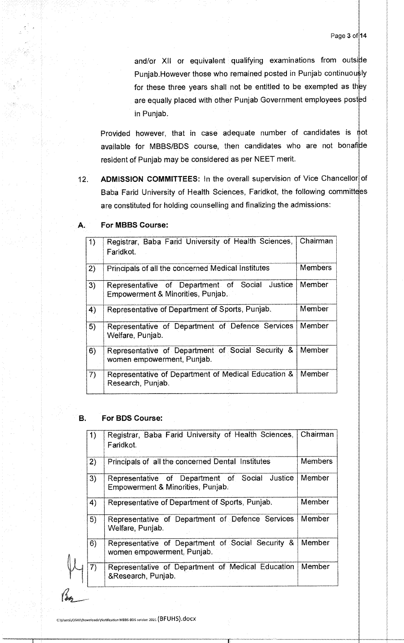and/or XII or equivalent qualifying examinations from outside Punjab.However those who remained posted in Punjab continuously for these three years shall not be entitled to be exempted as they are equally placed with other Punjab Government employees posted in Punjab.

Provided however, that in case adequate number of candidates is not available for MBBS/BDS course, then candidates who are not bonafide resident of Punjab may be considered as per NEET merit.

12. ADMISSION COMMITTEES: In the overall supervision of Vice Chancellor of Baba Farid University of Health Sciences, Faridkot, the following committees are constituted for holding counselling and finalizing the admissions:

| 1)               | Baba Farid University of Health Sciences,<br>Registrar,<br>Faridkot.                   | Chairman       |
|------------------|----------------------------------------------------------------------------------------|----------------|
| 2)               | Principals of all the concerned Medical Institutes                                     | <b>Members</b> |
| $\mathbf{3}$     | Representative of Department of Social<br>Justice<br>Empowerment & Minorities, Punjab. | Member         |
| $\blacktriangle$ | Representative of Department of Sports, Punjab.                                        | Member         |
| 5)               | Representative of Department of Defence Services<br>Welfare, Punjab.                   | Member         |
| 6)               | Representative of Department of Social Security &<br>women empowerment, Punjab.        | Member         |
| 7)               | Representative of Department of Medical Education &<br>Research, Punjab.               | Member         |

#### For MBBS Course: A.

#### **B.** For BDS Course:

|    | Registrar, Baba Farid University of Health Sciences,                                | Chairman       |
|----|-------------------------------------------------------------------------------------|----------------|
|    | Faridkot.                                                                           |                |
| 2) | Principals of all the concerned Dental Institutes                                   | <b>Members</b> |
| 3) | Representative of Department of Social Justice<br>Empowerment & Minorities, Punjab. | Member         |
| 4) | Representative of Department of Sports, Punjab.                                     | Member         |
| 5) | Representative of Department of Defence Services<br>Welfare, Punjab.                | Member         |
| 6) | Representative of Department of Social Security &<br>women empowerment, Puniab.     | Member         |
| 7) | Representative of Department of Medical Education<br>&Research, Punjab.             | Member         |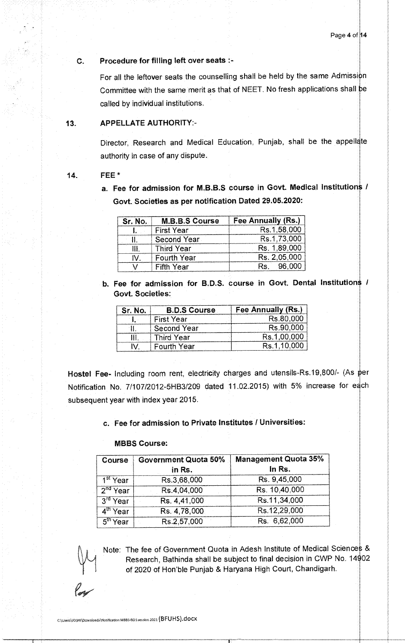## Procedure for filling left over seats :-

For all the leftover seats the counselling shall be held by the same Admission Committee with the same merit as that of NEET. No fresh applications shall be called by individual institutions.

## 13. APPELLATE AUTHORITY:-

Director, Research and Medical Education, Punjab, shall be the appellate authority in case of any dispute.

### 14. FEE\*

Ć.

a. Fee for admission for M.B.B.S course in Govt. Medical Institutions / Govt. Societies as per notification Dated 29.05.2020:

| Sr. No. | <b>M.B.B.S Course</b> | <b>Fee Annually (Rs.)</b> |  |
|---------|-----------------------|---------------------------|--|
|         | <b>First Year</b>     | Rs.1,58,000               |  |
|         | Second Year           | Rs.1,73,000               |  |
| İΗ      | <b>Third Year</b>     | Rs. 1,89,000              |  |
| N       | <b>Fourth Year</b>    | Rs. 2,05,000              |  |
|         | <b>Fifth Year</b>     | 96,000<br>Rs.             |  |

b. Fee for admission for B.D.S. course in Govt. Dental Institutions / Govt. Societies:

| Sr. No. | <b>B.D.S Course</b> | Fee Annually (Rs.) |  |
|---------|---------------------|--------------------|--|
|         | <b>First Year</b>   | Rs.80,000          |  |
|         | <b>Second Year</b>  | Rs.90,000          |  |
| Ш       | <b>Third Year</b>   | Rs.1,00,000        |  |
| N       | <b>Fourth Year</b>  | Rs.1.10,000        |  |

Hostel Fee- Including room rent, electricity charges and utensils-Rs.19,800/- (As per Notification No. 7/107/2012-5HB3/209 dated 11.02.2015) with 5% increase for each subsequent year with index year 2015.

## c. Fee for admission to Private Institutes / Universities:

#### MBBS Course:

| Course                                      | <b>Government Quota 50%</b><br>in Rs. | <b>Management Quota 35%</b><br>In Rs. |  |
|---------------------------------------------|---------------------------------------|---------------------------------------|--|
| $1st$ Year                                  | Rs.3,68,000                           | Rs. 9,45,000                          |  |
| $2nd$ Year                                  | Rs.4,04,000                           | Rs. 10,40,000                         |  |
| $\overline{\text{Year}}$<br>3 <sup>rd</sup> | Rs. 4,41,000                          | Rs.11,34,000                          |  |
| $4^{\text{th}}$ Year                        | Rs. 4,78,000                          | Rs.12,29,000                          |  |
| $5^{\text{th}}$ Year                        | Rs.2,57,000                           | Rs. 6,62,000                          |  |



Note: The fee of Government Quota in Adesh Institute of Medical Sciences & Research, Bathinda shall be subject to final decision in CWP No. 14902 of 2020 of Hon'ble Punjab & Haryana High Court, Chandigarh.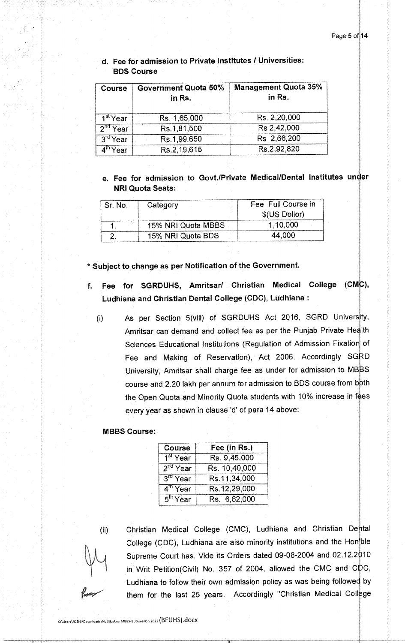# d. Fee for admission to Private Institutes / Universities: BDS Course

| <b>Course</b> | <b>Government Quota 50%</b><br>in Rs. | <b>Management Quota 35%</b><br>in Rs. |
|---------------|---------------------------------------|---------------------------------------|
| $1st$ Year    | Rs. 1,65,000                          | Rs. 2,20,000                          |
| $2^{nd}$ Year | Rs.1,81,500                           | Rs 2,42,000                           |
| $3^{rd}$ Year | Rs.1,99,650                           | Rs 2,66,200                           |
| $4th$ Year    | Rs.2,19,615                           | Rs.2,92,820                           |

e. Fee for admission to Govt./Private Medical/Dental Institutes under NRI Quota Seats:

| Sr. No. | Category           | Fee Full Course in |
|---------|--------------------|--------------------|
|         |                    | \$(US Dollor)      |
|         | 15% NRI Quota MBBS | 1,10,000           |
|         | 15% NRI Quota BDS  | 44.000             |

\* Subject to change as per Notification of the Government.

- f. Fee for SGRDUHS, Amritsar/ Christian Medical College (CMC), Ludhiana and Christian Dental College (CDC), Ludhiana :
	- As per Section 5(viii) of SGRDUHS Act 2016, SGRD University,  $\left(\mathbf{i}\right)$ Amritsar can demand and collect fee as per the Punjab Private Health Sciences Educational Institutions (Regulation of Admission Fixation of Fee and Making of Reservation), Act 2006. Accordingly SGRD University, Amritsar shall charge fee as under for admission to MBBS course and 2.20 lakh per annum for admission to BDS course from both the Open Quota and Minority Quota students with 10% increase in fees every year as shown in clause 'd' of para 14 above:

### MBBS Course:

| Course                  | Fee (in Rs.)  |  |
|-------------------------|---------------|--|
| 1 <sup>st</sup> Year    | Rs. 9,45,000  |  |
| $2nd$ Year              | Rs. 10,40,000 |  |
| $3rd$ Year              | Rs.11,34,000  |  |
| $\overline{4^{th}$ Year | Rs.12,29,000  |  |
| $5th$ Year              | Rs. 6,62,000  |  |

 $(ii)$ 

Christian Medical College (CMC), Ludhiana and Christian Dental College (CDC), Ludhiana are also minority institutions and the Hon ble Supreme Court has. Vide its Orders dated 09-08-2004 and 02.12.2010 in Writ Petition(Civil) No. 357 of 2004, allowed the CMC and C $\not\!\!\!\!\downarrow$  C, Ludhiana to follow their own admission policy as was being followed by them for the last 25 years. Accordingly "Christian Medical College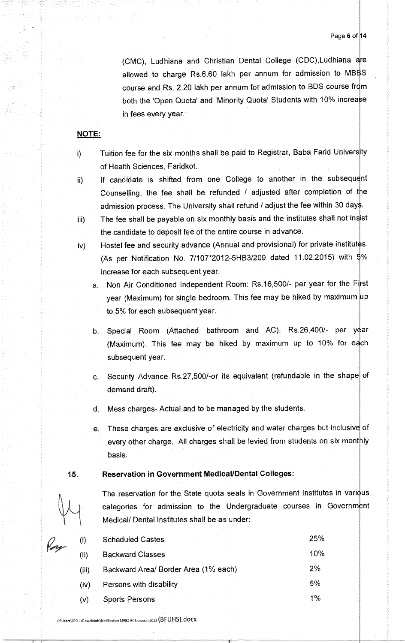(CMC), Ludhiana and Christian Dental College (CDC), Ludhiana are allowed to charge Rs.6.60 lakh per annum for admission to MBBS course and Rs. 2.20 lakh per annum for admission to BDS course from both the 'Open Quota' and 'Minority Quota' Students with 10% increase in fees every year.

## NOTE:

Ï)

- Tuition fee for the six months shall be paid to Registrar, Baba Farid University of Health Sciences, Faridkot.
- ii) If candidate is shifted from one College to another in the subsequent Counselling, the fee shall be refunded / adjusted after completion of the admission process. The University shall refund / adjust the fee within 30 days.
- iii) The fee shall be payable on six monthly basis and the institutes shall not insist the candidate to deposit fee of the entire course in advance.
- iv) Hostel fee and security advance (Annual and provisional) for private institutes. (As per Notification No. 7/107\*2012-5HB3/209 dated 11.02.2015) with  $\frac{4}{9}\%$ increase for each subsequent year.
	- a. Non Air Conditioned Independent Room: Rs.16,500/- per year for the First year (Maximum) for single bedroom. This fee may be hiked by maximum up to 5% for each subsequent year.
	- b. Special Room (Attached bathroom and AC): Rs.26,400/- per year (Maximum). This fee may be hiked by maximum up to 10% for each subsequent year.
	- c. Security Advance Rs.27,500/-or its equivalent (refundable in the shape of demand draft).
	- d. Mess charges- Actual and to be managed by the students.
	- These charges are exclusive of electricity and water charges but inclusive of e. every other charge. All charges shall be levied from students on six monthly basis.

## **15.** Reservation in Government Medical/Dental Colleges:

The reservation for the State quota seats in Government Institutes in varidus categories for admission to the Undergraduate courses in Government Medical/ Dental Institutes shall be as under:

| $\left( i\right)$ | <b>Scheduled Castes</b>              | 25%   |
|-------------------|--------------------------------------|-------|
| (i)               | <b>Backward Classes</b>              | 10%   |
| (iii)             | Backward Area/ Border Area (1% each) | 2%    |
| (iv)              | Persons with disability              | 5%    |
| (v)               | <b>Sports Persons</b>                | $1\%$ |
|                   |                                      |       |

C:\Users\JOSHI\Downloads\Notification MBBS-BDS session 2021 (BFUHS).dOCX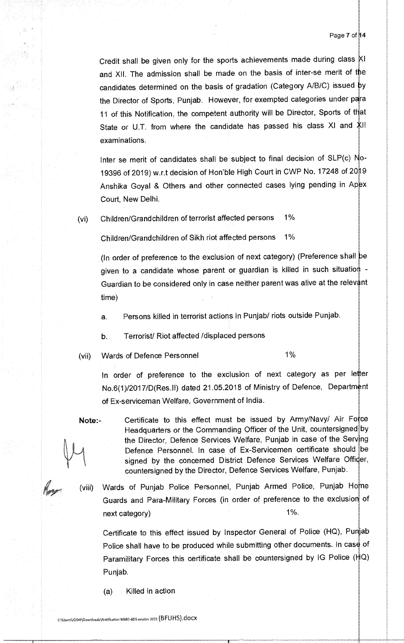Credit shall be given only for the sports achievements made during class XI and XII. The admission shall be made on the basis of inter-se merit of the candidates determined on the basis of gradation (Category A/B/C) issued by the Director of Sports, Punjab. However, for exempted categories under para 11 of this Notification, the competent authority will be Director, Sports of that State or U.T. from where the candidate has passed his class XI and examinations.

Inter se merit of candidates shall be subject to final decision of SLP(c)  $No-$ 19396 of 2019) w.r.t decision of Hon'ble High Court in CWP No. 17248 of 2019 Anshika Goyal & Others and other connected cases lying pending in Apex Court, New Delhi.

(vi) Children/Grandchildren of terrorist affected persons 1%

Children/Grandchildren of Sikh riot affected persons 1%

(In order of preference to the exclusion of next category) (Preference shall be given to a candidate whose parent or guardian is killed in such situation -Guardian to be considered only in case neither parent was alive at the relev time)

a. Persons killed in terrorist actions in Punjab/ riots outside Punjab.

b. Terrorist/ Riot affected /displaced persons

(vii) Wards of Defence Personnel 1%

In order of preference to the exclusion of next category as per letter No.6(1)/2017/D(Res.II) dated 21.05.2018 of Ministry of Defence, Department of Ex-serviceman Welfare, Government of India.

Note:- Certificate to this effect must be issued by Army/Navy/ Air Force Headquarters or the Commanding Officer of the Unit, countersigned by the Director, Defence Services Welfare, Punjab in case of the Serving Defence Personnel. In case of Ex-Servicemen certificate should be signed by the concerned District Defence Services Welfare Officer, countersigned by the Director, Defence Services Welfare, Punjab.

(viii) Wards of Punjab Police Personnel, Punjab Armed Police, Punjab Ho Guards and Para-Military Forces (in order of preference to the exclusion of next category) and the state of the state of the state of the state of the state of the state of the state of the state of the state of the state of the state of the state of the state of the state of the state of the stat

Certificate to this effect issued by Inspector General of Police (HQ), Punjab Police shall have to be produced while submitting other documents. In case of Paramilitary Forces this certificate shall be countersigned by IG Police  $(HQ)$ Punjab.

(a) Killed in action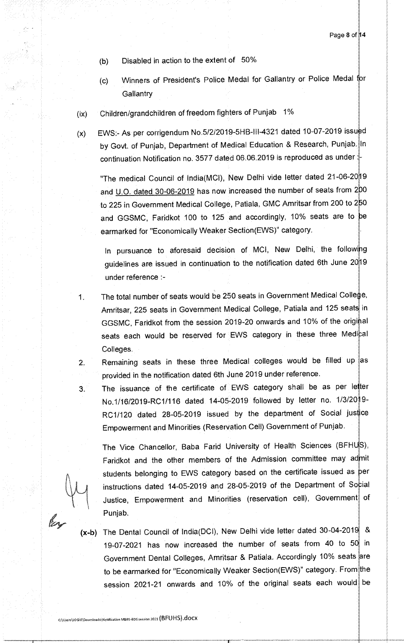- (b) Disabled in action to the extent of 50%
- (c) Winners of President's Police Medal for Gallantry or Police Medal **Gallantry**
- (ix) Children/grandchildren of freedom fighters of Punjab 1%
- $(x)$  EWS:- As per corrigendum No.5/2/2019-5HB-III-4321 dated 10-07-2019 issued by Govt. of Punjab, Department of Medical Education & Research, Punjab. In continuation Notification no. 3577 dated 06.06.2019 is reproduced as under

"The medical Council of India(MCI), New Delhi vide letter dated 21-06-20 19 and U.O. dated 30-06-2019 has now increased the number of seats from 200 to 225 in Government Medical College, Patiala, GMC Amritsar from 200 to 250 and GGSMC, Faridkot 100 to 125 and accordingly, 10% seats are to be earmarked for "Economically Weaker Section(EWS)" category.

In pursuance to aforesaid decision of MCI, New Delhi, the following guidelines are issued in continuation to the notification dated 6th June 2019 under reference :-

- The total number of seats would be 250 seats in Government Medical College, 1. Amritsar, 225 seats in Government Medical College, Patiala and 125 seats in GGSMC, Faridkot from the session 2019-20 onwards and 10% of the original seats each would be reserved for EWS category in these three Medical Colleges.
	- Remaining seats in these three Medical colleges would be filled up as provided in the notification dated 6th June 2019 under reference.
		- The issuance of the certificate of EWS category shall be as per letter No.1/16/2019-RC1/116 dated 14-05-2019 followed by letter no. 1/3/20 RC1/120 dated 28-05-2019 issued by the department of Social jus Empowerment and Minorities (Reservation Cell) Government of Punjab.

The Vice Chancellor, Baba Farid University of Health Sciences (BFH Faridkot and the other members of the Admission committee may admit students belonging to EWS category based on the certificate issued as instructions dated 14-05-2019 and 28-05-2019 of the Department of Social Justice, Empowerment and Minorities (reservation cell), Government of Punjab.

 $\overline{2}$ .

 $3<sub>1</sub>$ 

 $(x-b)$  The Dental Council of India(DCI), New Delhi vide letter dated 30-04-2019 & 19-07-2021 has now increased the number of seats from 40 to 50 in Government Dental Colleges, Amritsar & Patiala. Accordingly 10% seats are to be earmarked for "Economically Weaker Section(EWS)" category. From the session 2021-21 onwards and 10% of the original seats each would be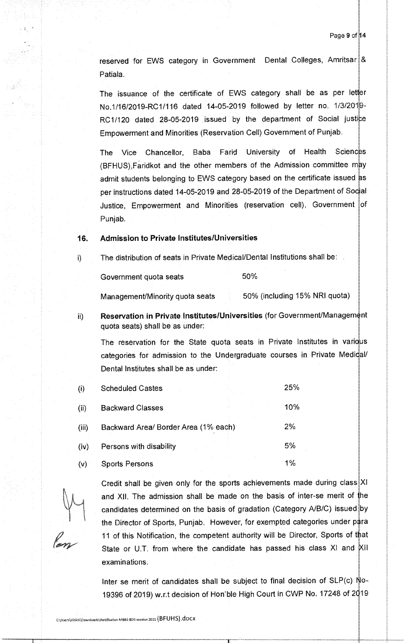reserved for EWS category in Government Dental Colleges, Amritsar & Patiala.

The issuance of the certificate of EWS category shall be as per letter No.1/16/2019-RC1/116 dated 14-05-2019 followed by letter no. 1/3/20 9- RC1/120 dated 28-05-2019 issued by the department of Social justice Empowerment and Minorities (Reservation Cell) Government of Punjab.

The Vice Chancellor, Baba Farid University of Health Sciences (BFHUS), Faridkot and the other members of the Admission committee may admit students belonging to EWS category based on the certificate issued as per instructions dated 14-05-2019 and 28-05-2019 of the Department of Social Justice, Empowerment and Minorities (reservation cell), Government of PUnjab.

# **16. Admission to Private Institutes/Universities**

i) The distribution of seats in Private Medical/Dental Institutions shall be:

Government quota seats 60%

Management/Minority quota seats 50% (including 15% NRI quota)

**Reservation in Private Institutes/Universities (for Government/Management** ii) quota seats) shall be as under:

The reservation for the State quota seats in Private Institutes in various categories for admission to the Undergraduate courses in Private Medidal/ Dental Institutes shall be as under:

| (i)   | <b>Scheduled Castes</b>              | 25%   |
|-------|--------------------------------------|-------|
| (ii)  | <b>Backward Classes</b>              | 10%   |
| (iii) | Backward Area/ Border Area (1% each) | 2%    |
| (iv)  | Persons with disability              | 5%    |
| (v)   | <b>Sports Persons</b>                | $1\%$ |

Credit shall be given only for the sports achievements made during class XI and XII. The admission shall be made on the basis of inter-se merit of he candidates determined on the basis of gradation (Category A/B/C) issued by the Director of Sports, Punjab. However, for exempted categories under p 11 of this Notification, the competent authority will be Director, Sports of that State or U.T. from where the candidate has passed his class XI and XII examinations.

Inter se merit of candidates shall be subject to final decision of  $SLP(c)$  No-19396 of 2019) w.r.t decision of Hon'ble High Court in CWP No. 17248 of 2019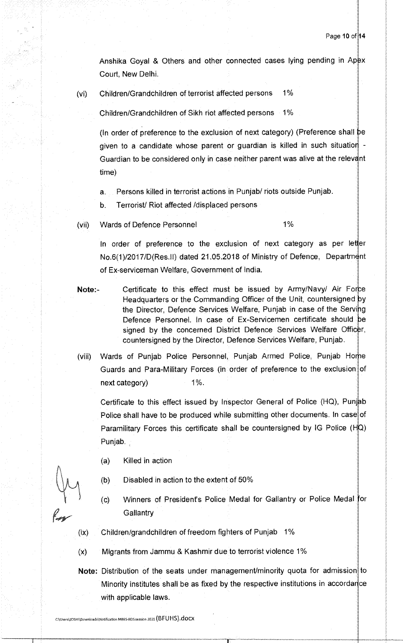Anshika Goyal & Others and other connected cases lying pending in Apex Court, New Delhi.

(vi) Children/Grandchildren of terrorist affected persons 1%

Children/Grandchildren of Sikh riot affected persons 1%

(In order of preference to the exclusion of next category) (Preference shall be given to a candidate whose parent or guardian is killed in such situatio Guardian to be considered only in case neither parent was alive at the relevant time)

- Persons killed in terrorist actions in Punjab/ riots outside Punjab.  $a<sub>1</sub>$
- Terrorist/ Riot affected /displaced persons  $\mathbf b$ .
- vii) Wards of Defence Personnel 1%

In order of preference to the exclusion of next category as per letter No.6(1)/2017/D(Res.II) dated 21.05.2018 of Ministry of Defence, Department of Ex-serviceman Welfare, Government of India.

Note:- Certificate to this effect must be issued by Army/Navy/ Air Force Headquarters or the Commanding Officer of the Unit, countersigned by the Director, Defence Services Welfare, Punjab in case of the Serving Defence Personnel. In case of Ex-Servicemen certificate should be signed by the concerned District Defence Services Welfare Officer, countersigned by the Director, Defence Services Welfare, Punjab.

(viii) Wards of Punjab Police Personnel, Punjab Armed Police, Punjab Ho Guards and Para-Military Forces (in order of preference to the exclusion of next category) 1%.

Certificate to this effect issued by Inspector General of Police (HQ), Punjab Police shall have to be produced while submitting other documents. In case of Paramilitary Forces this certificate shall be countersigned by IG Police (HQ) Punjab.

- (a) Killed in action
- (b) Disabled in action to the extent of 50%
- (c) Winners of President's Police Medal for Gallantry or Police Medal for **Gallantry**
- (ix) Children/grandchildren of freedom fighters of Punjab 1%
- (x) Migrants from Jammu & Kashmir due to terrorist violence 1%
- Note: Distribution of the seats under management/minority quota for admission to Minority institutes shall be as fixed by the respective institutions in accordance with applicable laws.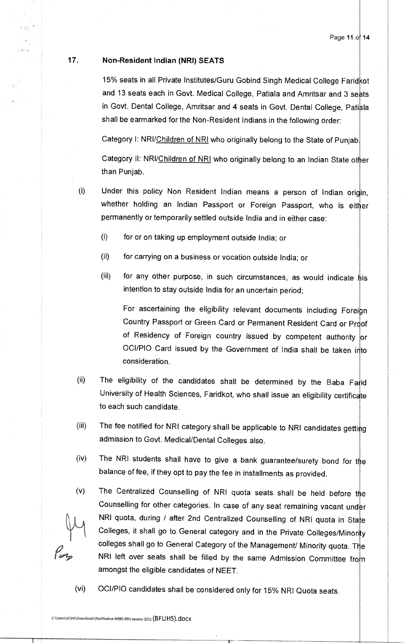# 17. Non-Resident Indian (NRI) SEATS

15% seats in all Private Institutes/Guru Gobind Singh Medical College Faridkot and 13 seats each in Govt. Medical College, Patiala and Amritsar and 3 seats in Govt. Dental College, Amritsar and 4 seats in Govt. Dental College, Patiala shall be earmarked for the Non-Resident Indians in the following order:

Category I: NRI/Children of NRI who originally belong to the State of Punjab.

Category II: NRI/Children of NRI who originally belong to an Indian State other than Punjab.

- (i) Under this policy Non Resident Indian means a person of Indian origin, whether holding an Indian Passport or Foreign Passport, who is either permanently or temporarily settled outside India and in either case:
	- (I) for or on taking up employment outside India; or
	- (ii) for carrying on a business or vocation outside India; or
	- (iii) for any other purpose, in such circumstances, as would indicate  $\frac{1}{n}$  is intention to stay outside India for an uncertain period;

For ascertaining the eligibility relevant documents including Foreign Country Passport or Green Card or Permanent Resident Card or Proof of Residency of Foreign country issued by competent authority or OCI/PIO Card issued by the Government of India shall be taken into consideration.

- $(ii)$ The eligibility of the candidates shall be determined by the Baba Farid University of Health Sciences, Faridkot, who shall issue an eligibility certificate to each such candidate.
- (iii) The fee notified for NRI category shall be applicable to NRI candidates getting admission to Govt. Medical/Dental Colleges also.
- (iv) The NRI students shall have to give a bank guarantee/surety bond for the balance of fee, if they opt to pay the fee in installments as provided.
- (v) The Centralized Counselling of NRI quota seats shall be held before the Counselling for other categories. In case of any seat remaining vacant under NRI quota, during / after 2nd Centralized Counselling of NRI quota in State Colleges, it shall go to General category and in the Private Colleges/Minority colleges shall go to General Category of the Management/ Minority quota. The NRI left over seats shall be filled by the same Admission Committee from amongst the eligible candidates of NEET.

(vi) OCI/PlO candidates shall be considered only for 15% NRI Quota seats.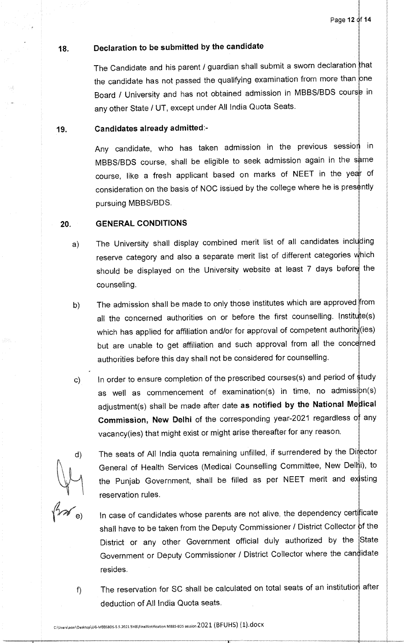# **18. Declaration to be submitted by the candidate**

The Candidate and his parent / guardian shall submit a sworn declaration that the candidate has not passed the qualifying examination from more than one Board / University and has not obtained admission in MBBS/BDS course in any other State / UT, except under All India Quota Seats.

## **19. Candidates already admitted:-**

Any candidate, who has taken admission in the previous session in MBBS/BDS course, shall be eligible to seek admission again in the same course, like a fresh applicant based on marks of NEET in the year of consideration on the basis of NOC issued by the college where he is presently pursuing MBBS/BDS.

## **20. GENERAL CONDITIONS**

d)

e)

 $f$ 

- a) The University shall display combined merit list of all candidates including reserve category and also a separate merit list of different categories which should be displayed on the University website at least 7 days before the counseling.
- b) The admission shall be made to only those institutes which are approved from all the concerned authorities on or before the first counselling. Institute(s) which has applied for affiliation and/or for approval of competent authority(ies) but are unable to get affiliation and such approval from all the concerned authorities before this day shall not be considered for counselling.
- In order to ensure completion of the prescribed courses(s) and period of study  $\mathsf{c}$ ) as well as commencement of examination(s) in time, no admission(s) adjustment(s) shall be made after date **as notified by the National Medical Commission, New Delhi** of the corresponding year-2021 regardless of any vacancy(ies) that might exist or might arise thereafter for any reason.
	- The seats of All India quota remaining unfilled, if surrendered by the Director General of Health Services (Medical Counselling Committee, New Delhi), to the Punjab Government, shall be filled as per NEET merit and existing reservation rules.
		- In case of candidates whose parents are not alive, the dependency certificate shall have to be taken from the Deputy Commissioner / District Collector of the District or any other Government official duly authorized by the State Government or Deputy Commissioner / District Collector where the candidate resides.
		- The reservation for SC shall be calculated on total seats of an institution after deduction of All India Quota seats.

 $\sim$  C:\Users\acer\Desktop\UG-MBBSBDS-5.5.2021.5HB\FinaINotification MBBS-BDS session 2021 (BFUHS) (1).docx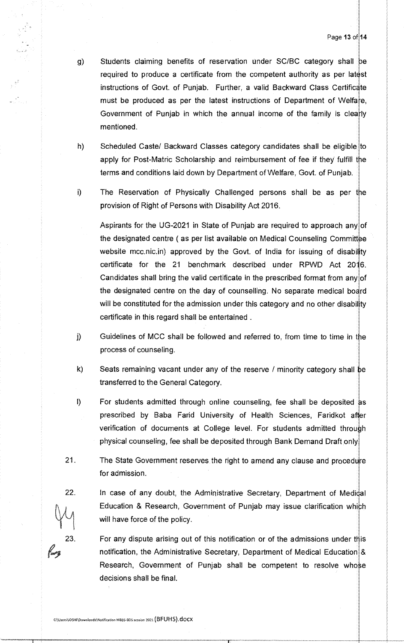- g) Students claiming benefits of reservation under SC/BC category shall be required to produce a certificate from the competent authority as per latest instructions of Govt. of Punjab. Further, a valid Backward Class Certificate must be produced as per the latest instructions of Department of Welfare, Government of Punjab in which the annual income of the family is clearly mentioned.
- Scheduled Caste/ Backward Classes category candidates shall be eligible to  $h)$ apply for Post-Matric Scholarship and reimbursement of fee if they fulfill the terms and conditions laid down by Department of Welfare, Govt. of Punjab.
- i) The Reservation of Physically Challenged persons shall be as per provision of Right of Persons with Disability Act 2016.

Aspirants for the UG-2021 in State of Punjab are required to approach any of the designated centre (as per list available on Medical Counseling Committee website mcc.nic.in) approved by the Govt. of India for issuing of disability certificate for the 21 benchmark described under RPWD Act 2016. Candidates shall bring the valid certificate in the prescribed format from any of the designated centre on the day of counselling. No separate medical board will be constituted for the admission under this category and no other disability certificate in this regard shall be entertained .

- $\mathbf{j}$ Guidelines of MCC shall be followed and referred to, from time to time in the process of counseling.
- k) Seats remaining vacant under any of the reserve / minority category shall be transferred to the General Category.
- I) For students admitted through online counseling, fee shall be deposited as prescribed by Baba Farid University of Health Sciences, Faridkot after verification of documents at College level. For students admitted through physical counseling, fee shall be deposited through Bank Demand Draft, only
- 21. The State Government reserves the right to amend any clause and procedure for admission.
- 22. In case of any doubt, the Administrative Secretary, Department of Medidal Education & Research, Government of Punjab may issue clarification which will have force of the policy.
- 23. For any dispute arising out of this notification or of the admissions under this notification, the Administrative Secretary, Department of Medical Education & Research, Government of Punjab shall be competent to resolve whose decisions shall be final.